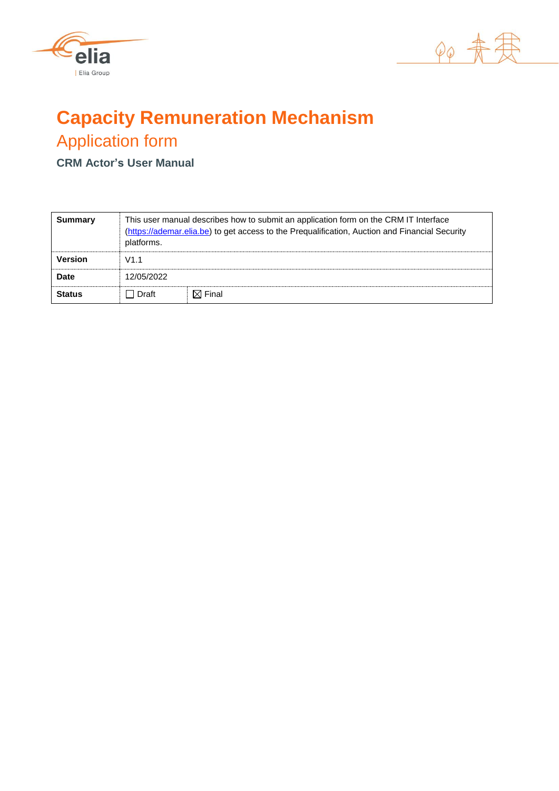



# **Capacity Remuneration Mechanism** Application form

**CRM Actor's User Manual**

| Summary        | platforms. | This user manual describes how to submit an application form on the CRM IT Interface<br>(https://ademar.elia.be) to get access to the Prequalification, Auction and Financial Security |  |  |
|----------------|------------|----------------------------------------------------------------------------------------------------------------------------------------------------------------------------------------|--|--|
| <b>Version</b> | V1.1       |                                                                                                                                                                                        |  |  |
| Date           | 12/05/2022 |                                                                                                                                                                                        |  |  |
| <b>Status</b>  | Draft      | $\boxtimes$ Final                                                                                                                                                                      |  |  |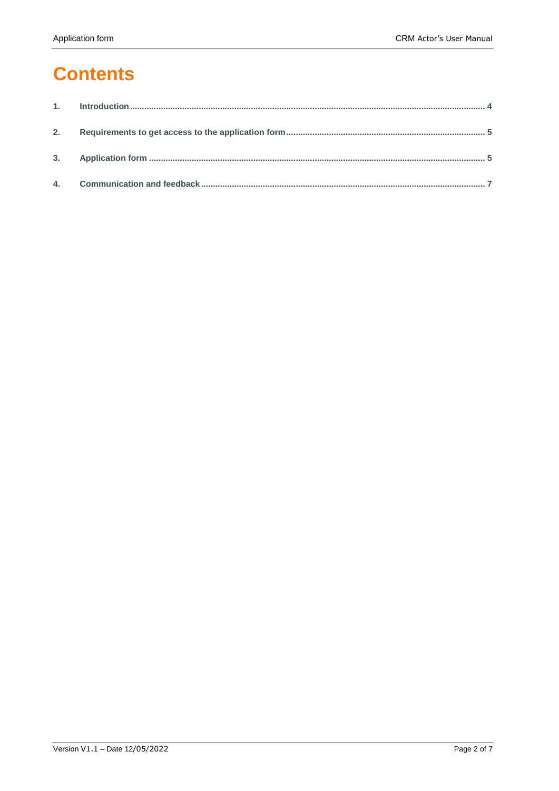# **Contents**

| 2. |  |
|----|--|
|    |  |
|    |  |
|    |  |
|    |  |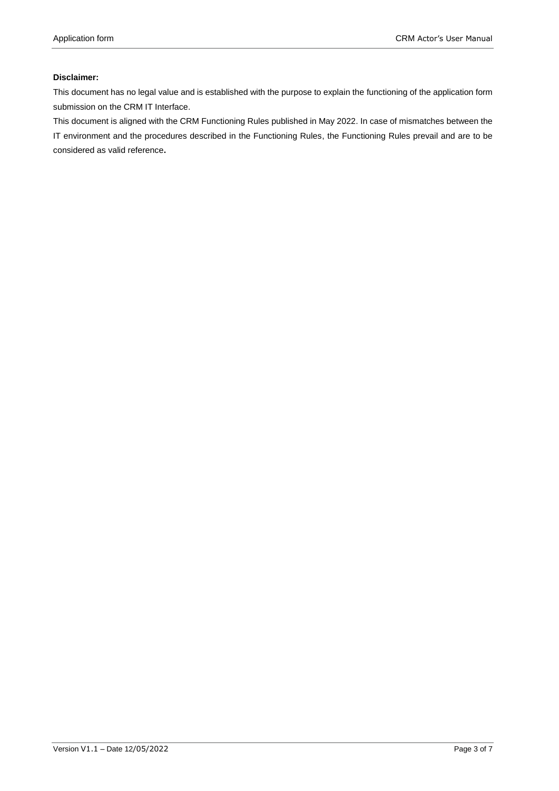#### **Disclaimer:**

This document has no legal value and is established with the purpose to explain the functioning of the application form submission on the CRM IT Interface.

This document is aligned with the CRM Functioning Rules published in May 2022. In case of mismatches between the IT environment and the procedures described in the Functioning Rules, the Functioning Rules prevail and are to be considered as valid reference**.**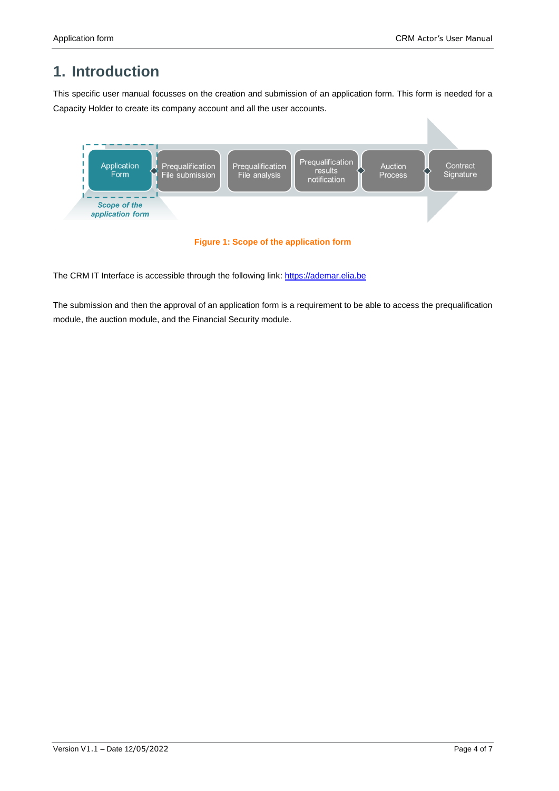## **1. Introduction**

This specific user manual focusses on the creation and submission of an application form. This form is needed for a Capacity Holder to create its company account and all the user accounts.



The CRM IT Interface is accessible through the following link: [https://ademar.elia.be](https://ademar.elia.be/)

The submission and then the approval of an application form is a requirement to be able to access the prequalification module, the auction module, and the Financial Security module.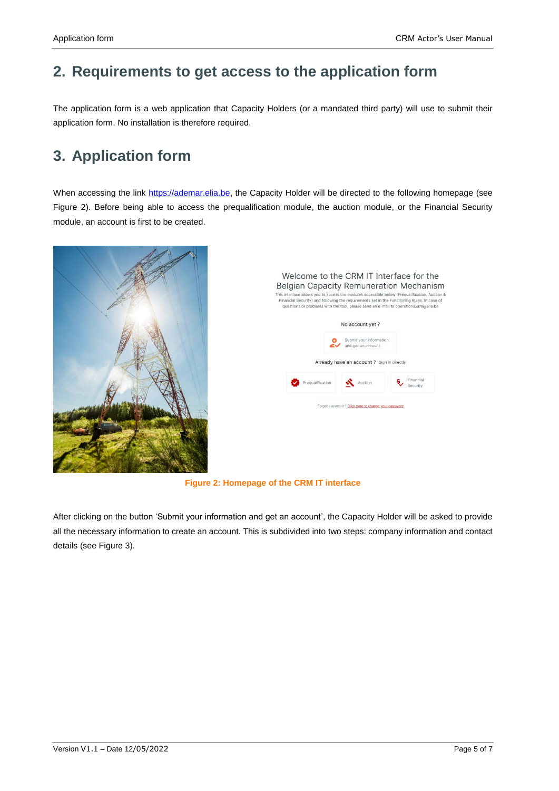## **2. Requirements to get access to the application form**

The application form is a web application that Capacity Holders (or a mandated third party) will use to submit their application form. No installation is therefore required.

### **3. Application form**

When accessing the link [https://ademar.elia.be,](https://ademar.elia.be/) the Capacity Holder will be directed to the following homepage (see [Figure 2\)](#page-4-0). Before being able to access the prequalification module, the auction module, or the Financial Security module, an account is first to be created.



|                  | No account yet?                               |                       |  |
|------------------|-----------------------------------------------|-----------------------|--|
|                  | Submit your information<br>and get an account |                       |  |
|                  | Already have an account ? Sign in directly    |                       |  |
|                  |                                               |                       |  |
| Pregualification | Auction                                       | Financial<br>Security |  |

**Figure 2: Homepage of the CRM IT interface**

<span id="page-4-0"></span>After clicking on the button 'Submit your information and get an account', the Capacity Holder will be asked to provide all the necessary information to create an account. This is subdivided into two steps: company information and contact details (see [Figure 3\)](#page-5-0).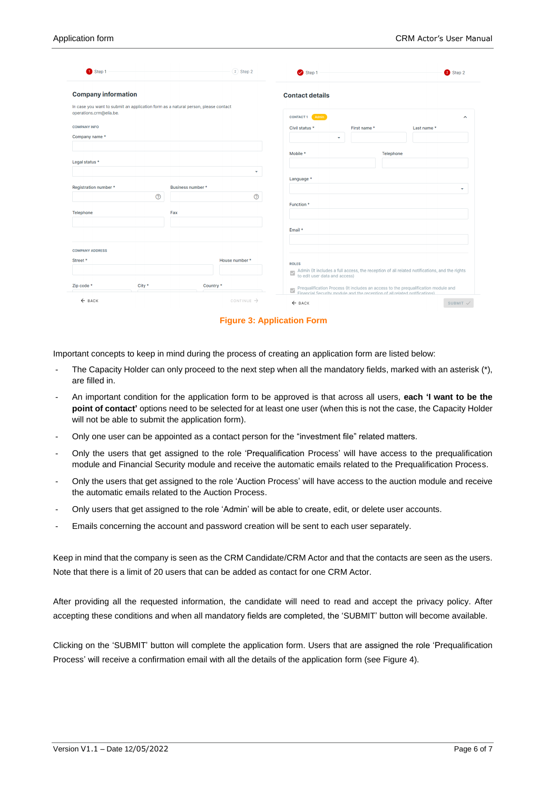| $\bullet$ Step 1                                                                                              | 2 Step 2               | Step 1                 |                  | 2 Step 2                                                                                                                                                        |
|---------------------------------------------------------------------------------------------------------------|------------------------|------------------------|------------------|-----------------------------------------------------------------------------------------------------------------------------------------------------------------|
| <b>Company information</b>                                                                                    |                        | <b>Contact details</b> |                  |                                                                                                                                                                 |
| In case you want to submit an application form as a natural person, please contact<br>operations.crm@elia.be. |                        | CONTACT1 Admin         |                  | $\sim$                                                                                                                                                          |
| <b>COMPANY INFO</b>                                                                                           |                        | Civil status *         | First name *     | Last name *                                                                                                                                                     |
| Company name*                                                                                                 |                        | ۰                      |                  |                                                                                                                                                                 |
|                                                                                                               |                        | Mobile *               | <b>Telephone</b> |                                                                                                                                                                 |
| Legal status *                                                                                                |                        |                        |                  |                                                                                                                                                                 |
|                                                                                                               | ٠                      | Language *             |                  |                                                                                                                                                                 |
| Registration number *                                                                                         | Business number *      |                        |                  |                                                                                                                                                                 |
| $^{\circ}$                                                                                                    | $^{\circ}$             |                        |                  |                                                                                                                                                                 |
| Telephone                                                                                                     | Fax                    | Function *             |                  |                                                                                                                                                                 |
|                                                                                                               |                        |                        |                  |                                                                                                                                                                 |
|                                                                                                               |                        | Email *                |                  |                                                                                                                                                                 |
|                                                                                                               |                        |                        |                  |                                                                                                                                                                 |
| <b>COMPANY ADDRESS</b>                                                                                        |                        |                        |                  |                                                                                                                                                                 |
| Street *                                                                                                      | House number *         | <b>ROLES</b>           |                  |                                                                                                                                                                 |
|                                                                                                               |                        | $\overline{\vee}$      |                  | Admin (It includes a full access, the reception of all related notifications, and the rights to edit user data and access)                                      |
| Zip code *<br>City *                                                                                          | Country*               | $\checkmark$           |                  | Prequalification Process (It includes an access to the prequalification module and<br>Einancial Security module and the recention of all related notifications) |
| $\leftarrow$ BACK                                                                                             | CONTINUE $\rightarrow$ | $\leftarrow$ BACK      |                  | SUBMIT <sub>V</sub>                                                                                                                                             |

**Figure 3: Application Form**

<span id="page-5-0"></span>Important concepts to keep in mind during the process of creating an application form are listed below:

- The Capacity Holder can only proceed to the next step when all the mandatory fields, marked with an asterisk (\*), are filled in.
- An important condition for the application form to be approved is that across all users, **each 'I want to be the point of contact'** options need to be selected for at least one user (when this is not the case, the Capacity Holder will not be able to submit the application form).
- Only one user can be appointed as a contact person for the "investment file" related matters.
- Only the users that get assigned to the role 'Prequalification Process' will have access to the prequalification module and Financial Security module and receive the automatic emails related to the Prequalification Process.
- Only the users that get assigned to the role 'Auction Process' will have access to the auction module and receive the automatic emails related to the Auction Process.
- Only users that get assigned to the role 'Admin' will be able to create, edit, or delete user accounts.
- Emails concerning the account and password creation will be sent to each user separately.

Keep in mind that the company is seen as the CRM Candidate/CRM Actor and that the contacts are seen as the users. Note that there is a limit of 20 users that can be added as contact for one CRM Actor.

After providing all the requested information, the candidate will need to read and accept the privacy policy. After accepting these conditions and when all mandatory fields are completed, the 'SUBMIT' button will become available.

Clicking on the 'SUBMIT' button will complete the application form. Users that are assigned the role 'Prequalification Process' will receive a confirmation email with all the details of the application form (see [Figure 4\)](#page-6-0).